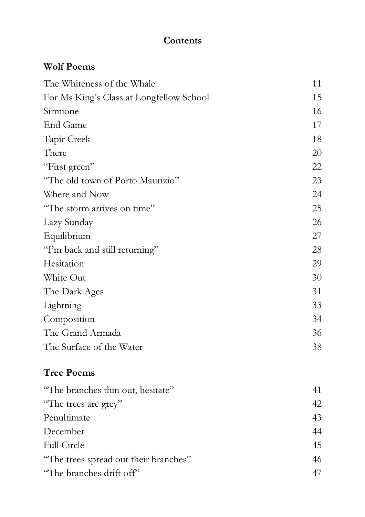#### **Contents**

### Wolf Poems

| The Whiteness of the Whale               | 11 |
|------------------------------------------|----|
| For Ms King's Class at Longfellow School | 15 |
| Sirmione                                 | 16 |
| End Game                                 | 17 |
| <b>Tapir Creek</b>                       | 18 |
| There                                    | 20 |
| "First green"                            | 22 |
| "The old town of Porto Maurizio"         | 23 |
| Where and Now                            | 24 |
| "The storm arrives on time"              | 25 |
| Lazy Sunday                              | 26 |
| Equilibrium                              | 27 |
| "I'm back and still returning"           | 28 |
| Hesitation                               | 29 |
| White Out                                | 30 |
| The Dark Ages                            | 31 |
| Lightning                                | 33 |
| Composition                              | 34 |
| The Grand Armada                         | 36 |
| The Surface of the Water                 | 38 |

## Tree Poems

| "The branches thin out, hesitate"     | 41 |
|---------------------------------------|----|
| "The trees are grey"                  | 42 |
| Penultimate                           | 43 |
| December                              | 44 |
| <b>Full Circle</b>                    | 45 |
| "The trees spread out their branches" | 46 |
| "The branches drift off"              |    |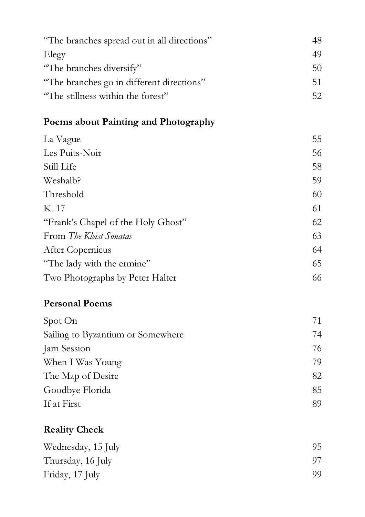| "The branches spread out in all directions" | 48. |
|---------------------------------------------|-----|
| Elegy                                       | 49  |
| "The branches diversify"                    | 5() |
| "The branches go in different directions"   | 51  |
| "The stillness within the forest"           | 52. |

# Poems about Painting and Photography

| La Vague                           | 55 |
|------------------------------------|----|
| Les Puits-Noir                     | 56 |
| Still Life                         | 58 |
| Weshalb?                           | 59 |
| Threshold                          | 60 |
| K. 17                              | 61 |
| "Frank's Chapel of the Holy Ghost" | 62 |
| From The Kleist Sonatas            | 63 |
| After Copernicus                   | 64 |
| "The lady with the ermine"         | 65 |
| Two Photographs by Peter Halter    | 66 |

### Personal Poems

| Spot On                           |    |
|-----------------------------------|----|
| Sailing to Byzantium or Somewhere | 74 |
| Jam Session                       | 76 |
| When I Was Young                  | 79 |
| The Map of Desire                 | 82 |
| Goodbye Florida                   | 85 |
| If at First                       | 89 |

### Reality Check

| Wednesday, 15 July | 95. |
|--------------------|-----|
| Thursday, 16 July  | 97. |
| Friday, 17 July    | QQ. |